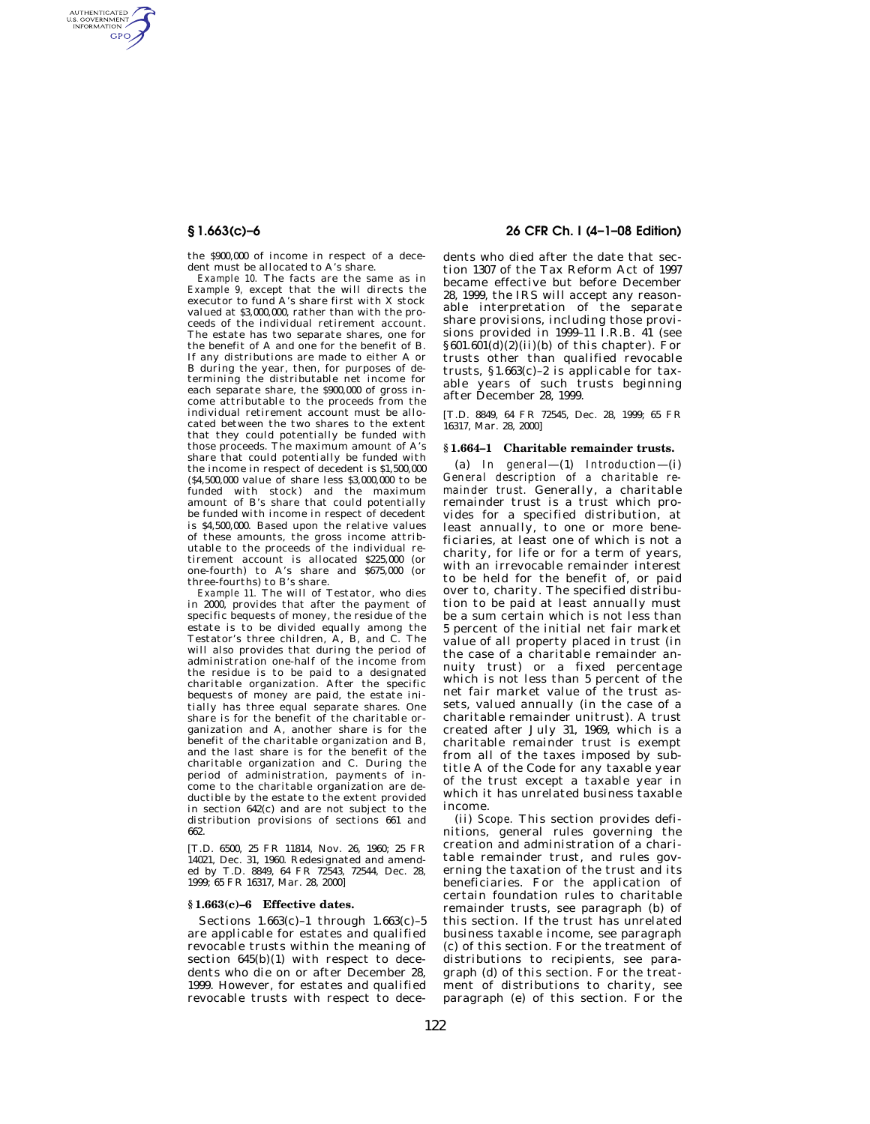AUTHENTICATED<br>U.S. GOVERNMENT<br>INFORMATION **GPO** 

> the \$900,000 of income in respect of a decedent must be allocated to A's share.

> *Example 10.* The facts are the same as in *Example 9,* except that the will directs the executor to fund A's share first with X stock valued at \$3,000,000, rather than with the proceeds of the individual retirement account. The estate has two separate shares, one for the benefit of A and one for the benefit of B. If any distributions are made to either A or B during the year, then, for purposes of determining the distributable net income for each separate share, the \$900,000 of gross income attributable to the proceeds from the individual retirement account must be allocated between the two shares to the extent that they could potentially be funded with those proceeds. The maximum amount of A's share that could potentially be funded with the income in respect of decedent is \$1,500,000 (\$4,500,000 value of share less \$3,000,000 to be funded with stock) and the maximum amount of B's share that could potentially be funded with income in respect of decedent is \$4,500,000. Based upon the relative values of these amounts, the gross income attributable to the proceeds of the individual retirement account is allocated \$225,000 (or one-fourth) to A's share and \$675,000 (or three-fourths) to B's share.

> *Example 11.* The will of Testator, who dies in 2000, provides that after the payment of specific bequests of money, the residue of the estate is to be divided equally among the Testator's three children, A, B, and C. The will also provides that during the period of administration one-half of the income from the residue is to be paid to a designated charitable organization. After the specific bequests of money are paid, the estate initially has three equal separate shares. One share is for the benefit of the charitable organization and A, another share is for the benefit of the charitable organization and B, and the last share is for the benefit of the charitable organization and C. During the period of administration, payments of income to the charitable organization are deductible by the estate to the extent provided in section 642(c) and are not subject to the distribution provisions of sections 661 and 662.

[T.D. 6500, 25 FR 11814, Nov. 26, 1960; 25 FR 14021, Dec. 31, 1960. Redesignated and amended by T.D. 8849, 64 FR 72543, 72544, Dec. 28, 1999; 65 FR 16317, Mar. 28, 2000]

#### **§ 1.663(c)–6 Effective dates.**

Sections  $1.663(c)-1$  through  $1.663(c)-5$ are applicable for estates and qualified revocable trusts within the meaning of section  $645(b)(1)$  with respect to decedents who die on or after December 28, 1999. However, for estates and qualified revocable trusts with respect to dece-

# **§ 1.663(c)–6 26 CFR Ch. I (4–1–08 Edition)**

dents who died after the date that section 1307 of the Tax Reform Act of 1997 became effective but before December 28, 1999, the IRS will accept any reasonable interpretation of the separate share provisions, including those provisions provided in 1999–11 I.R.B. 41 (see  $§601.601(d)(2)(ii)(b)$  of this chapter). For trusts other than qualified revocable trusts,  $$1.663(c)-2$  is applicable for taxable years of such trusts beginning after December 28, 1999.

[T.D. 8849, 64 FR 72545, Dec. 28, 1999; 65 FR 16317, Mar. 28, 2000]

#### **§ 1.664–1 Charitable remainder trusts.**

(a) *In general*—(1) *Introduction*—(i) *General description of a charitable remainder trust.* Generally, a charitable remainder trust is a trust which provides for a specified distribution, at least annually, to one or more beneficiaries, at least one of which is not a charity, for life or for a term of years, with an irrevocable remainder interest to be held for the benefit of, or paid over to, charity. The specified distribution to be paid at least annually must be a sum certain which is not less than 5 percent of the initial net fair market value of all property placed in trust (in the case of a charitable remainder annuity trust) or a fixed percentage which is not less than 5 percent of the net fair market value of the trust assets, valued annually (in the case of a charitable remainder unitrust). A trust created after July 31, 1969, which is a charitable remainder trust is exempt from all of the taxes imposed by subtitle A of the Code for any taxable year of the trust except a taxable year in which it has unrelated business taxable income.

(ii) *Scope.* This section provides definitions, general rules governing the creation and administration of a charitable remainder trust, and rules governing the taxation of the trust and its beneficiaries. For the application of certain foundation rules to charitable remainder trusts, see paragraph (b) of this section. If the trust has unrelated business taxable income, see paragraph (c) of this section. For the treatment of distributions to recipients, see paragraph (d) of this section. For the treatment of distributions to charity, see paragraph (e) of this section. For the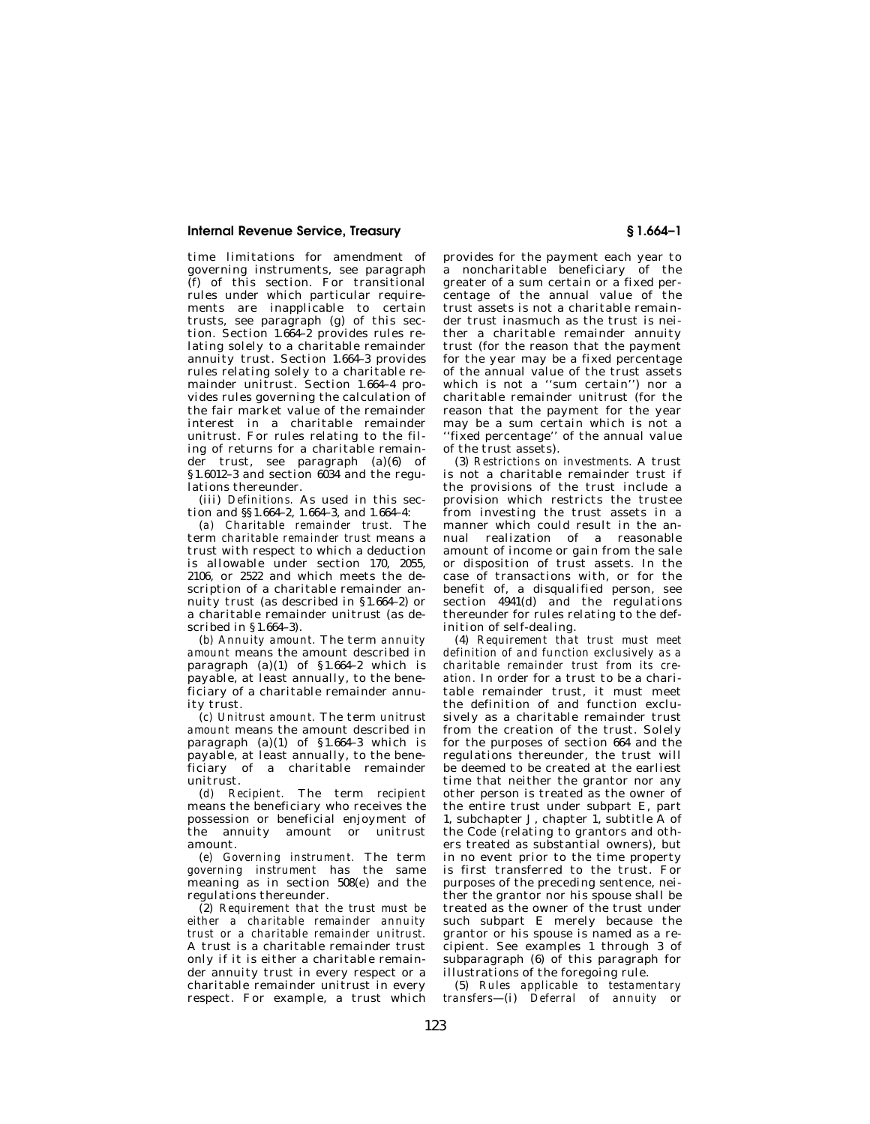time limitations for amendment of governing instruments, see paragraph (f) of this section. For transitional rules under which particular requirements are inapplicable to certain trusts, see paragraph (g) of this section. Section 1.664–2 provides rules relating solely to a charitable remainder annuity trust. Section 1.664–3 provides rules relating solely to a charitable remainder unitrust. Section 1.664–4 provides rules governing the calculation of the fair market value of the remainder interest in a charitable remainder unitrust. For rules relating to the filing of returns for a charitable remainder trust, see paragraph (a)(6) of §1.6012–3 and section 6034 and the regulations thereunder.

(iii) *Definitions.* As used in this section and §§1.664–2, 1.664–3, and 1.664–4:

(*a) Charitable remainder trust.* The term *charitable remainder trust* means a trust with respect to which a deduction is allowable under section 170, 2055, 2106, or 2522 and which meets the description of a charitable remainder annuity trust (as described in §1.664–2) or a charitable remainder unitrust (as described in §1.664–3).

(*b) Annuity amount.* The term *annuity amount* means the amount described in paragraph  $(a)(1)$  of  $§1.664-2$  which is payable, at least annually, to the beneficiary of a charitable remainder annuity trust.

(*c) Unitrust amount.* The term *unitrust amount* means the amount described in paragraph  $(a)(1)$  of  $§1.664-3$  which is payable, at least annually, to the beneficiary of a charitable remainder unitrust.

(*d) Recipient.* The term *recipient*  means the beneficiary who receives the possession or beneficial enjoyment of the annuity amount or unitrust amount.

(*e) Governing instrument.* The term *governing instrument* has the same meaning as in section 508(e) and the regulations thereunder.

(2) *Requirement that the trust must be either a charitable remainder annuity trust or a charitable remainder unitrust.*  A trust is a charitable remainder trust only if it is either a charitable remainder annuity trust in every respect or a charitable remainder unitrust in every respect. For example, a trust which

provides for the payment each year to a noncharitable beneficiary of the greater of a sum certain or a fixed percentage of the annual value of the trust assets is not a charitable remainder trust inasmuch as the trust is neither a charitable remainder annuity trust (for the reason that the payment for the year may be a fixed percentage of the annual value of the trust assets which is not a ''sum certain'') nor a charitable remainder unitrust (for the reason that the payment for the year may be a sum certain which is not a 'fixed percentage'' of the annual value of the trust assets).

(3) *Restrictions on investments.* A trust is not a charitable remainder trust if the provisions of the trust include a provision which restricts the trustee from investing the trust assets in a manner which could result in the annual realization of a reasonable amount of income or gain from the sale or disposition of trust assets. In the case of transactions with, or for the benefit of, a disqualified person, see section 4941(d) and the regulations thereunder for rules relating to the definition of self-dealing.

(4) *Requirement that trust must meet definition of and function exclusively as a charitable remainder trust from its creation.* In order for a trust to be a charitable remainder trust, it must meet the definition of and function exclusively as a charitable remainder trust from the creation of the trust. Solely for the purposes of section 664 and the regulations thereunder, the trust will be deemed to be created at the earliest time that neither the grantor nor any other person is treated as the owner of the entire trust under subpart E, part 1, subchapter J, chapter 1, subtitle A of the Code (relating to grantors and others treated as substantial owners), but in no event prior to the time property is first transferred to the trust. For purposes of the preceding sentence, neither the grantor nor his spouse shall be treated as the owner of the trust under such subpart E merely because the grantor or his spouse is named as a recipient. See examples 1 through 3 of subparagraph (6) of this paragraph for illustrations of the foregoing rule.

(5) *Rules applicable to testamentary transfers*—(i) *Deferral of annuity or*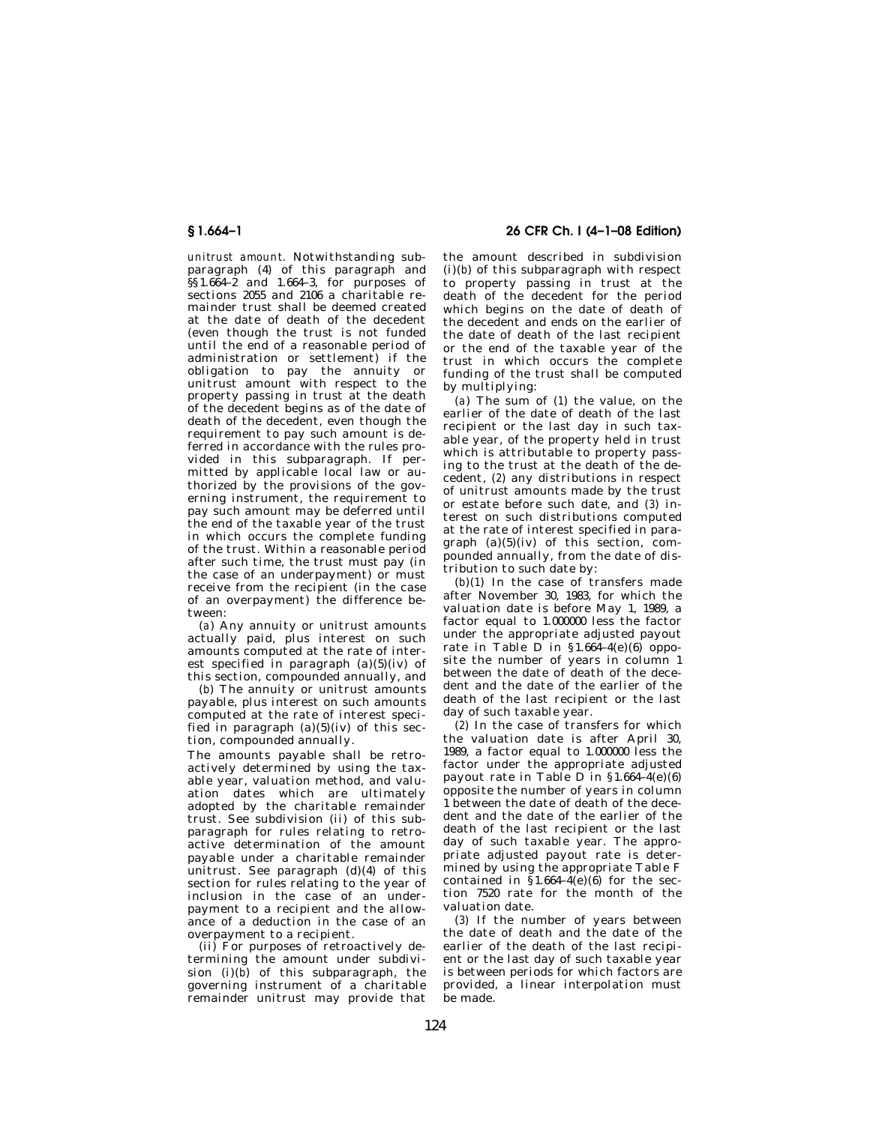*unitrust amount.* Notwithstanding subparagraph (4) of this paragraph and §§1.664–2 and 1.664–3, for purposes of sections 2055 and 2106 a charitable remainder trust shall be deemed created at the date of death of the decedent (even though the trust is not funded until the end of a reasonable period of administration or settlement) if the obligation to pay the annuity or unitrust amount with respect to the property passing in trust at the death of the decedent begins as of the date of death of the decedent, even though the requirement to pay such amount is deferred in accordance with the rules provided in this subparagraph. If permitted by applicable local law or authorized by the provisions of the governing instrument, the requirement to pay such amount may be deferred until the end of the taxable year of the trust in which occurs the complete funding of the trust. Within a reasonable period after such time, the trust must pay (in the case of an underpayment) or must receive from the recipient (in the case of an overpayment) the difference between:

(*a*) Any annuity or unitrust amounts actually paid, plus interest on such amounts computed at the rate of interest specified in paragraph  $(a)(5)(iv)$  of this section, compounded annually, and

(*b*) The annuity or unitrust amounts payable, plus interest on such amounts computed at the rate of interest specified in paragraph  $(a)(5)(iv)$  of this section, compounded annually.

The amounts payable shall be retroactively determined by using the taxable year, valuation method, and valuation dates which are ultimately adopted by the charitable remainder trust. See subdivision (ii) of this subparagraph for rules relating to retroactive determination of the amount payable under a charitable remainder unitrust. See paragraph (d)(4) of this section for rules relating to the year of inclusion in the case of an underpayment to a recipient and the allowance of a deduction in the case of an overpayment to a recipient.

(ii) For purposes of retroactively determining the amount under subdivision  $(i)(\check{b})$  of this subparagraph, the governing instrument of a charitable remainder unitrust may provide that

**§ 1.664–1 26 CFR Ch. I (4–1–08 Edition)** 

the amount described in subdivision (i)(*b*) of this subparagraph with respect to property passing in trust at the death of the decedent for the period which begins on the date of death of the decedent and ends on the earlier of the date of death of the last recipient or the end of the taxable year of the trust in which occurs the complete funding of the trust shall be computed by multiplying:

(*a*) The sum of (*1*) the value, on the earlier of the date of death of the last recipient or the last day in such taxable year, of the property held in trust which is attributable to property passing to the trust at the death of the decedent, (*2*) any distributions in respect of unitrust amounts made by the trust or estate before such date, and (*3*) interest on such distributions computed at the rate of interest specified in paragraph  $(a)(5)(iv)$  of this section, compounded annually, from the date of distribution to such date by:

(*b*)(*1*) In the case of transfers made after November 30, 1983, for which the valuation date is before May 1, 1989, a factor equal to 1.000000 less the factor under the appropriate adjusted payout rate in Table D in  $$1.664-4(e)(6)$  opposite the number of years in column 1 between the date of death of the decedent and the date of the earlier of the death of the last recipient or the last day of such taxable year.

(*2*) In the case of transfers for which the valuation date is after April 30, 1989, a factor equal to 1.000000 less the factor under the appropriate adjusted payout rate in Table D in  $\S 1.664-4(e)(6)$ opposite the number of years in column 1 between the date of death of the decedent and the date of the earlier of the death of the last recipient or the last day of such taxable year. The appropriate adjusted payout rate is determined by using the appropriate Table F contained in  $\S 1.664-4(e)(6)$  for the section 7520 rate for the month of the valuation date.

(*3*) If the number of years between the date of death and the date of the earlier of the death of the last recipient or the last day of such taxable year is between periods for which factors are provided, a linear interpolation must be made.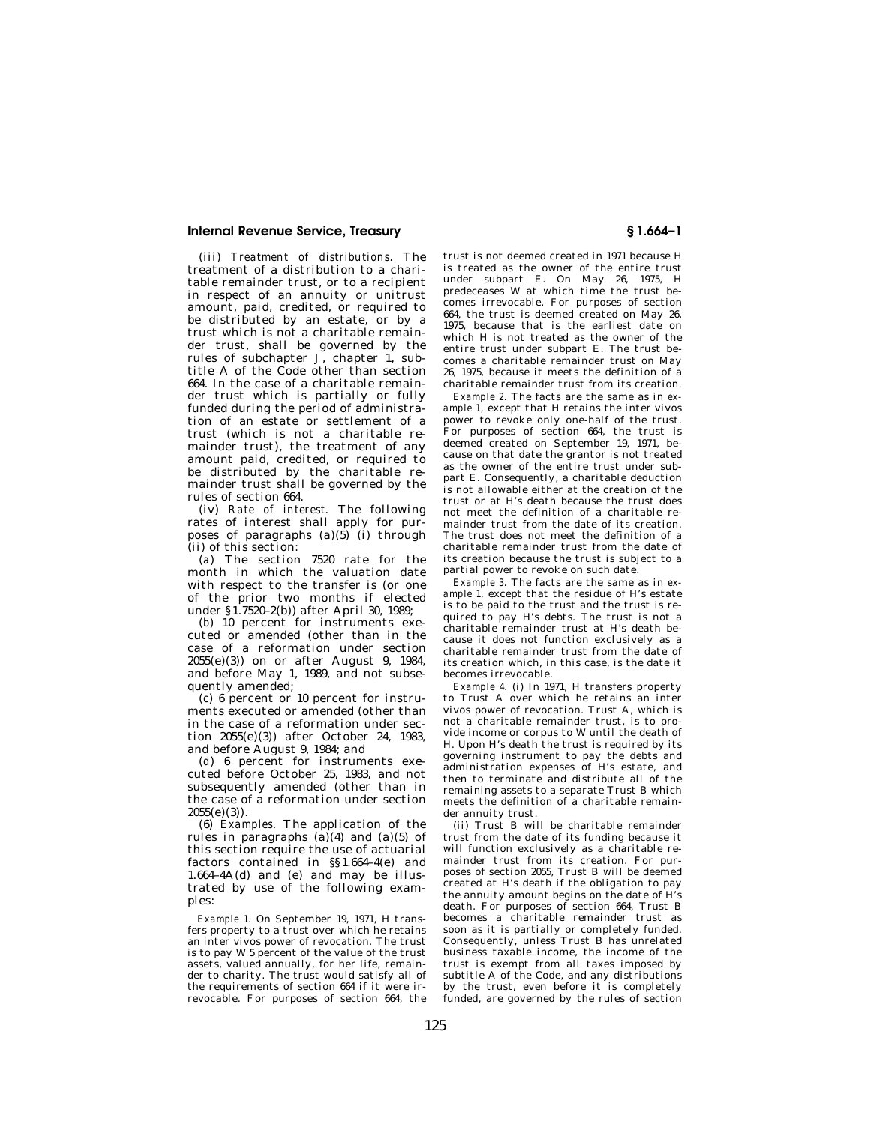(iii) *Treatment of distributions.* The treatment of a distribution to a charitable remainder trust, or to a recipient in respect of an annuity or unitrust amount, paid, credited, or required to be distributed by an estate, or by a trust which is not a charitable remainder trust, shall be governed by the rules of subchapter J, chapter 1, subtitle A of the Code other than section 664. In the case of a charitable remainder trust which is partially or fully funded during the period of administration of an estate or settlement of a trust (which is not a charitable remainder trust), the treatment of any amount paid, credited, or required to be distributed by the charitable remainder trust shall be governed by the rules of section 664.

(iv) *Rate of interest.* The following rates of interest shall apply for purposes of paragraphs  $(a)(5)$  (i) through (ii) of this section:

(*a*) The section 7520 rate for the month in which the valuation date with respect to the transfer is (or one of the prior two months if elected under §1.7520–2(b)) after April 30, 1989;

(*b*) 10 percent for instruments executed or amended (other than in the case of a reformation under section 2055(e)(3)) on or after August 9, 1984, and before May 1, 1989, and not subsequently amended;

(*c*) 6 percent or 10 percent for instruments executed or amended (other than in the case of a reformation under section 2055(e)(3)) after October 24, 1983, and before August 9, 1984; and

(*d*) 6 percent for instruments executed before October 25, 1983, and not subsequently amended (other than in the case of a reformation under section  $2055(e)(3)$ .

(6) *Examples.* The application of the rules in paragraphs  $(a)(4)$  and  $(a)(5)$  of this section require the use of actuarial factors contained in §§1.664–4(e) and 1.664–4A(d) and (e) and may be illustrated by use of the following examples:

*Example 1.* On September 19, 1971, H transfers property to a trust over which he retains an inter vivos power of revocation. The trust is to pay W 5 percent of the value of the trust assets, valued annually, for her life, remainder to charity. The trust would satisfy all of the requirements of section 664 if it were irrevocable. For purposes of section 664, the

trust is not deemed created in 1971 because H is treated as the owner of the entire trust under subpart E. On May 26, 1975, H predeceases W at which time the trust becomes irrevocable. For purposes of section 664, the trust is deemed created on May 26, 1975, because that is the earliest date on which H is not treated as the owner of the entire trust under subpart E. The trust becomes a charitable remainder trust on May 26, 1975, because it meets the definition of a charitable remainder trust from its creation.

*Example 2.* The facts are the same as in *example 1,* except that H retains the inter vivos power to revoke only one-half of the trust. For purposes of section 664, the trust is deemed created on September 19, 1971, because on that date the grantor is not treated as the owner of the entire trust under subpart E. Consequently, a charitable deduction is not allowable either at the creation of the trust or at H's death because the trust does not meet the definition of a charitable remainder trust from the date of its creation. The trust does not meet the definition of a charitable remainder trust from the date of its creation because the trust is subject to a partial power to revoke on such date.

*Example 3.* The facts are the same as in *example 1,* except that the residue of H's estate is to be paid to the trust and the trust is required to pay H's debts. The trust is not a charitable remainder trust at H's death because it does not function exclusively as a charitable remainder trust from the date of its creation which, in this case, is the date it becomes irrevocable.

*Example 4.* (i) In 1971, H transfers property to Trust A over which he retains an inter vivos power of revocation. Trust A, which is not a charitable remainder trust, is to provide income or corpus to W until the death of H. Upon H's death the trust is required by its governing instrument to pay the debts and administration expenses of H's estate, and then to terminate and distribute all of the remaining assets to a separate Trust B which meets the definition of a charitable remainder annuity trust.

(ii) Trust B will be charitable remainder trust from the date of its funding because it will function exclusively as a charitable remainder trust from its creation. For purposes of section 2055, Trust B will be deemed .<br>created at H's death if the obligation to pay the annuity amount begins on the date of H's death. For purposes of section 664, Trust B becomes a charitable remainder trust as soon as it is partially or completely funded. Consequently, unless Trust B has unrelated business taxable income, the income of the trust is exempt from all taxes imposed by subtitle A of the Code, and any distributions by the trust, even before it is completely funded, are governed by the rules of section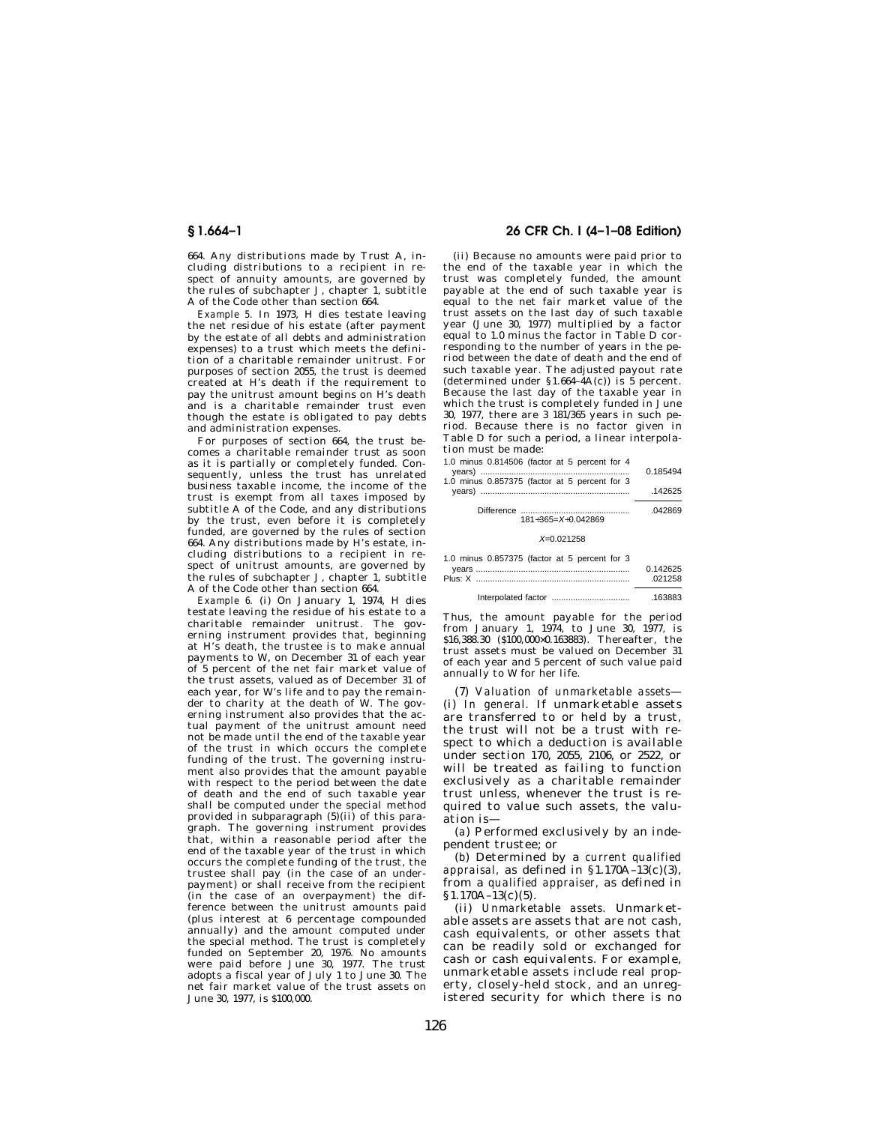664. Any distributions made by Trust A, including distributions to a recipient in respect of annuity amounts, are governed by the rules of subchapter J, chapter 1, subtitle A of the Code other than section 664.

*Example 5.* In 1973, H dies testate leaving the net residue of his estate (after payment by the estate of all debts and administration expenses) to a trust which meets the definition of a charitable remainder unitrust. For purposes of section 2055, the trust is deemed created at H's death if the requirement to pay the unitrust amount begins on H's death and is a charitable remainder trust even though the estate is obligated to pay debts and administration expenses.

For purposes of section 664, the trust becomes a charitable remainder trust as soon as it is partially or completely funded. Consequently, unless the trust has unrelated business taxable income, the income of the trust is exempt from all taxes imposed by subtitle A of the Code, and any distributions by the trust, even before it is completely funded, are governed by the rules of section 664. Any distributions made by H's estate, including distributions to a recipient in respect of unitrust amounts, are governed by the rules of subchapter J, chapter 1, subtitle A of the Code other than section 664.

*Example 6.* (i) On January 1, 1974, H dies testate leaving the residue of his estate to a charitable remainder unitrust. The governing instrument provides that, beginning at H's death, the trustee is to make annual payments to W, on December 31 of each year of 5 percent of the net fair market value of the trust assets, valued as of December 31 of each year, for W's life and to pay the remainder to charity at the death of W. The governing instrument also provides that the actual payment of the unitrust amount need not be made until the end of the taxable year of the trust in which occurs the complete funding of the trust. The governing instrument also provides that the amount payable with respect to the period between the date of death and the end of such taxable year shall be computed under the special method provided in subparagraph (5)(ii) of this paragraph. The governing instrument provides that, within a reasonable period after the end of the taxable year of the trust in which occurs the complete funding of the trust, the trustee shall pay (in the case of an underpayment) or shall receive from the recipient (in the case of an overpayment) the difference between the unitrust amounts paid (plus interest at 6 percentage compounded annually) and the amount computed under the special method. The trust is completely funded on September 20, 1976. No amounts were paid before June 30, 1977. The trust adopts a fiscal year of July 1 to June 30. The net fair market value of the trust assets on June 30, 1977, is \$100,000.

### **§ 1.664–1 26 CFR Ch. I (4–1–08 Edition)**

(ii) Because no amounts were paid prior to the end of the taxable year in which the trust was completely funded, the amount payable at the end of such taxable year is equal to the net fair market value of the trust assets on the last day of such taxable year (June 30, 1977) multiplied by a factor equal to 1.0 minus the factor in Table D corresponding to the number of years in the period between the date of death and the end of such taxable year. The adjusted payout rate (determined under  $$1.664-\AA(c)$ ) is 5 percent. Because the last day of the taxable year in which the trust is completely funded in June 30, 1977, there are 3 181/365 years in such period. Because there is no factor given in Table D for such a period, a linear interpolation must be made:

| 1.0 minus 0.814506 (factor at 5 percent for 4 |          |
|-----------------------------------------------|----------|
|                                               | 0.185494 |
| 1.0 minus 0.857375 (factor at 5 percent for 3 |          |
|                                               | .142625  |

| $181 + 365 = X + 0.042869$ | .042869 |
|----------------------------|---------|
| $X=0.021258$               |         |

| 1.0 minus 0.857375 (factor at 5 percent for 3 | 0.142625<br>.021258 |
|-----------------------------------------------|---------------------|
|                                               | .163883             |

Thus, the amount payable for the period from January 1, 1974, to June 30, 1977, is \$16,388.30 (\$100,000×0.163883). Thereafter, the trust assets must be valued on December 31 of each year and 5 percent of such value paid annually to W for her life.

(7) *Valuation of unmarketable assets*— (i) *In general.* If unmarketable assets are transferred to or held by a trust, the trust will not be a trust with respect to which a deduction is available under section 170, 2055, 2106, or 2522, or will be treated as failing to function exclusively as a charitable remainder trust unless, whenever the trust is required to value such assets, the valuation is—

(*a*) Performed exclusively by an independent trustee; or

(*b*) Determined by a *current qualified appraisal,* as defined in §1.170A–13(c)(3), from a *qualified appraiser,* as defined in §1.170A-13(c)(5).

(ii) *Unmarketable assets.* Unmarketable assets are assets that are not cash, cash equivalents, or other assets that can be readily sold or exchanged for cash or cash equivalents. For example, unmarketable assets include real property, closely-held stock, and an unregistered security for which there is no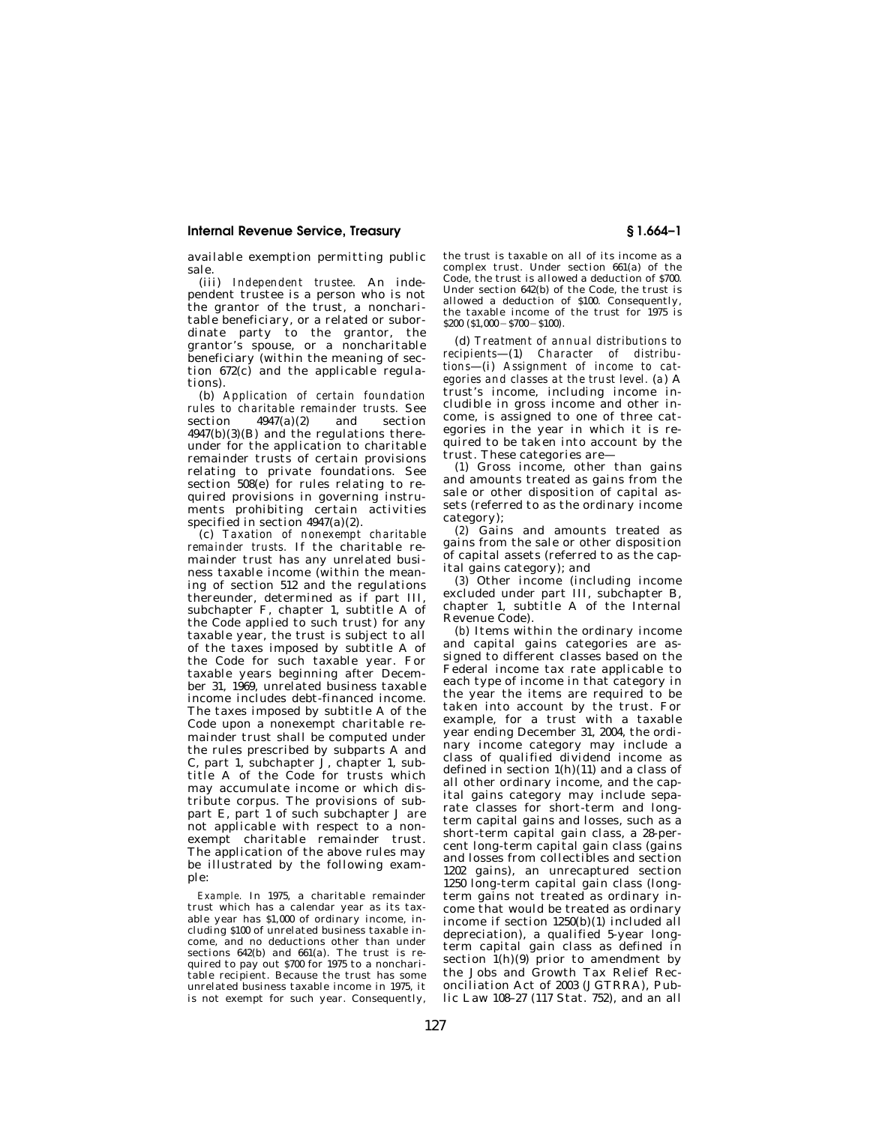available exemption permitting public sale.

(iii) *Independent trustee.* An independent trustee is a person who is not the grantor of the trust, a noncharitable beneficiary, or a related or subordinate party to the grantor, the grantor's spouse, or a noncharitable beneficiary (within the meaning of section 672(c) and the applicable regulations).

(b) *Application of certain foundation rules to charitable remainder trusts.* See<br>section 4947(a)(2) and section  $4947(a)(2)$  and section  $4947(b)(3)(B)$  and the regulations thereunder for the application to charitable remainder trusts of certain provisions relating to private foundations. See section  $508(e)$  for rules relating to required provisions in governing instruments prohibiting certain activities specified in section  $4947(a)(2)$ .

(c) *Taxation of nonexempt charitable remainder trusts.* If the charitable remainder trust has any unrelated business taxable income (within the meaning of section 512 and the regulations thereunder, determined as if part III, subchapter F, chapter 1, subtitle A of the Code applied to such trust) for any taxable year, the trust is subject to all of the taxes imposed by subtitle A of the Code for such taxable year. For taxable years beginning after December 31, 1969, unrelated business taxable income includes debt-financed income. The taxes imposed by subtitle A of the Code upon a nonexempt charitable remainder trust shall be computed under the rules prescribed by subparts A and C, part 1, subchapter J, chapter 1, subtitle A of the Code for trusts which may accumulate income or which distribute corpus. The provisions of subpart E, part 1 of such subchapter J are not applicable with respect to a nonexempt charitable remainder trust. The application of the above rules may be illustrated by the following example:

*Example.* In 1975, a charitable remainder trust which has a calendar year as its taxable year has \$1,000 of ordinary income, including \$100 of unrelated business taxable income, and no deductions other than under sections 642(b) and 661(a). The trust is required to pay out  $$700$  for 1975 to a noncharitable recipient. Because the trust has some unrelated business taxable income in 1975, it is not exempt for such year. Consequently, the trust is taxable on all of its income as a complex trust. Under section 661(a) of the Code, the trust is allowed a deduction of \$700. Under section 642(b) of the Code, the trust is allowed a deduction of \$100. Consequently, the taxable income of the trust for 1975 is  $$200 (S1,000 - S700 - S100).$ 

(d) *Treatment of annual distributions to recipients*—(1) *Character of distributions*—(i) *Assignment of income to categories and classes at the trust level.* (*a*) A trust's income, including income includible in gross income and other income, is assigned to one of three categories in the year in which it is required to be taken into account by the trust. These categories are—

(*1*) Gross income, other than gains and amounts treated as gains from the sale or other disposition of capital assets (referred to as the ordinary income category);

(*2*) Gains and amounts treated as gains from the sale or other disposition of capital assets (referred to as the capital gains category); and

(*3*) Other income (including income excluded under part III, subchapter B, chapter 1, subtitle A of the Internal Revenue Code).

(*b*) Items within the ordinary income and capital gains categories are assigned to different classes based on the Federal income tax rate applicable to each type of income in that category in the year the items are required to be taken into account by the trust. For example, for a trust with a taxable year ending December 31, 2004, the ordinary income category may include a class of qualified dividend income as defined in section 1(h)(11) and a class of all other ordinary income, and the capital gains category may include separate classes for short-term and longterm capital gains and losses, such as a short-term capital gain class, a 28-percent long-term capital gain class (gains and losses from collectibles and section 1202 gains), an unrecaptured section 1250 long-term capital gain class (longterm gains not treated as ordinary income that would be treated as ordinary income if section  $1250(b)(1)$  included all depreciation), a qualified 5-year longterm capital gain class as defined in section  $1(h)(9)$  prior to amendment by the Jobs and Growth Tax Relief Reconciliation Act of 2003 (JGTRRA), Public Law 108–27 (117 Stat. 752), and an all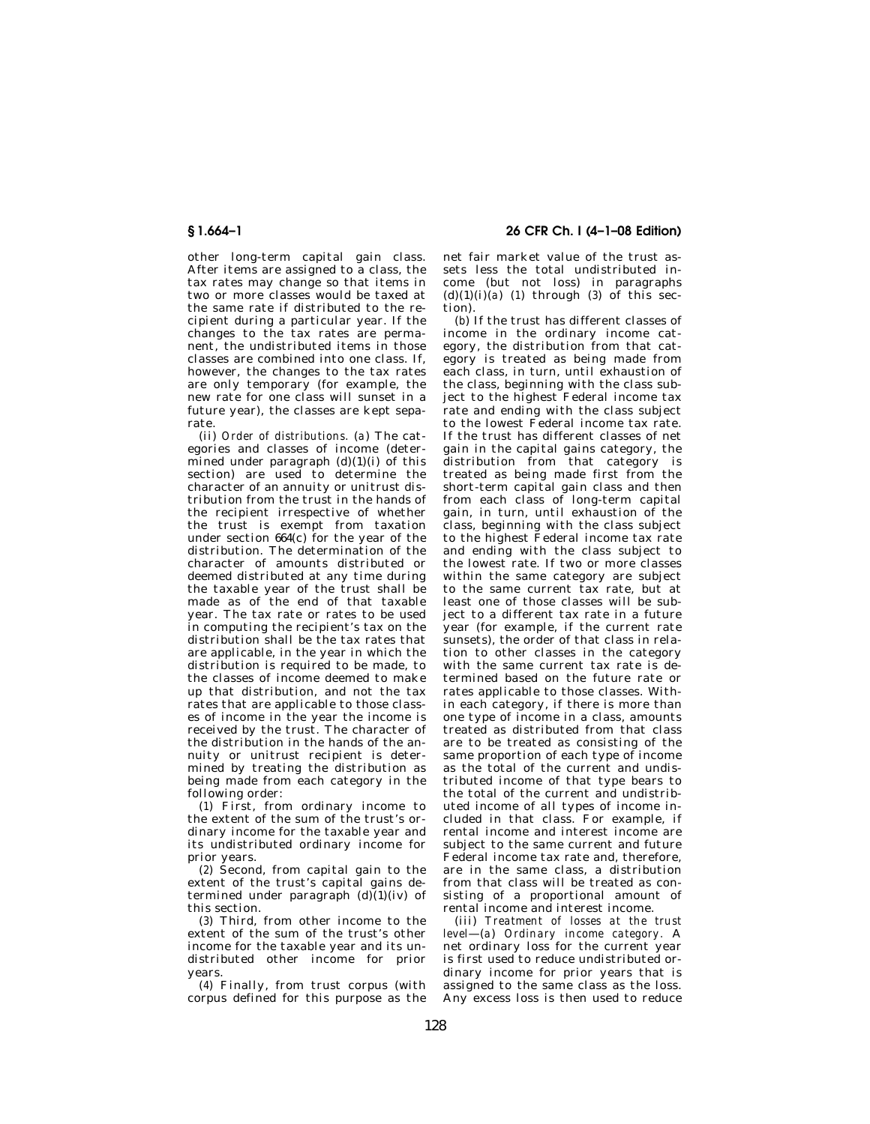other long-term capital gain class. After items are assigned to a class, the tax rates may change so that items in two or more classes would be taxed at the same rate if distributed to the recipient during a particular year. If the changes to the tax rates are permanent, the undistributed items in those classes are combined into one class. If, however, the changes to the tax rates are only temporary (for example, the new rate for one class will sunset in a future year), the classes are kept separate.

(ii) *Order of distributions.* (*a*) The categories and classes of income (determined under paragraph  $(d)(1)(i)$  of this section) are used to determine the character of an annuity or unitrust distribution from the trust in the hands of the recipient irrespective of whether the trust is exempt from taxation under section 664(c) for the year of the distribution. The determination of the character of amounts distributed or deemed distributed at any time during the taxable year of the trust shall be made as of the end of that taxable year. The tax rate or rates to be used in computing the recipient's tax on the distribution shall be the tax rates that are applicable, in the year in which the distribution is required to be made, to the classes of income deemed to make up that distribution, and not the tax rates that are applicable to those classes of income in the year the income is received by the trust. The character of the distribution in the hands of the annuity or unitrust recipient is determined by treating the distribution as being made from each category in the following order:

(*1*) First, from ordinary income to the extent of the sum of the trust's ordinary income for the taxable year and its undistributed ordinary income for prior years.

(*2*) Second, from capital gain to the extent of the trust's capital gains determined under paragraph  $(d)(1)(iv)$  of this section.

(*3*) Third, from other income to the extent of the sum of the trust's other income for the taxable year and its undistributed other income for prior years.

(*4*) Finally, from trust corpus (with corpus defined for this purpose as the

**§ 1.664–1 26 CFR Ch. I (4–1–08 Edition)** 

net fair market value of the trust assets less the total undistributed income (but not loss) in paragraphs  $(d)(1)(i)(a)$  (*1*) through (*3*) of this section).

(*b*) If the trust has different classes of income in the ordinary income category, the distribution from that category is treated as being made from each class, in turn, until exhaustion of the class, beginning with the class subject to the highest Federal income tax rate and ending with the class subject to the lowest Federal income tax rate. If the trust has different classes of net gain in the capital gains category, the distribution from that category is treated as being made first from the short-term capital gain class and then from each class of long-term capital gain, in turn, until exhaustion of the class, beginning with the class subject to the highest Federal income tax rate and ending with the class subject to the lowest rate. If two or more classes within the same category are subject to the same current tax rate, but at least one of those classes will be subject to a different tax rate in a future year (for example, if the current rate sunsets), the order of that class in relation to other classes in the category with the same current tax rate is determined based on the future rate or rates applicable to those classes. Within each category, if there is more than one type of income in a class, amounts treated as distributed from that class are to be treated as consisting of the same proportion of each type of income as the total of the current and undistributed income of that type bears to the total of the current and undistributed income of all types of income included in that class. For example, if rental income and interest income are subject to the same current and future Federal income tax rate and, therefore, are in the same class, a distribution from that class will be treated as consisting of a proportional amount of rental income and interest income.

(iii) *Treatment of losses at the trust level*—(*a*) *Ordinary income category.* A net ordinary loss for the current year is first used to reduce undistributed ordinary income for prior years that is assigned to the same class as the loss. Any excess loss is then used to reduce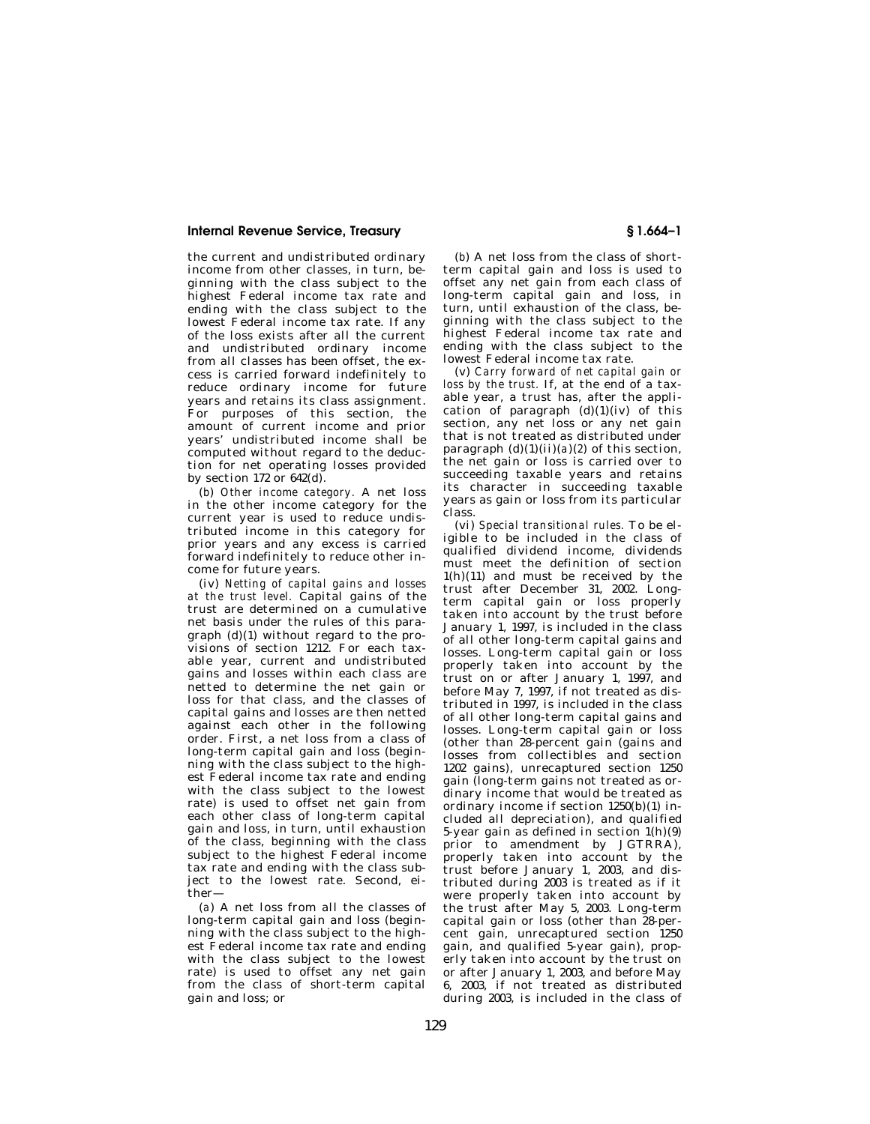the current and undistributed ordinary income from other classes, in turn, beginning with the class subject to the highest Federal income tax rate and ending with the class subject to the lowest Federal income tax rate. If any of the loss exists after all the current and undistributed ordinary income from all classes has been offset, the excess is carried forward indefinitely to reduce ordinary income for future years and retains its class assignment. For purposes of this section, the amount of current income and prior years' undistributed income shall be computed without regard to the deduction for net operating losses provided by section 172 or 642(d).

(*b*) *Other income category.* A net loss in the other income category for the current year is used to reduce undistributed income in this category for prior years and any excess is carried forward indefinitely to reduce other income for future years.

(iv) *Netting of capital gains and losses at the trust level.* Capital gains of the trust are determined on a cumulative net basis under the rules of this paragraph (d)(1) without regard to the provisions of section 1212. For each taxable year, current and undistributed gains and losses within each class are netted to determine the net gain or loss for that class, and the classes of capital gains and losses are then netted against each other in the following order. First, a net loss from a class of long-term capital gain and loss (beginning with the class subject to the highest Federal income tax rate and ending with the class subject to the lowest rate) is used to offset net gain from each other class of long-term capital gain and loss, in turn, until exhaustion of the class, beginning with the class subject to the highest Federal income tax rate and ending with the class subject to the lowest rate. Second, either—

(*a*) A net loss from all the classes of long-term capital gain and loss (beginning with the class subject to the highest Federal income tax rate and ending with the class subject to the lowest rate) is used to offset any net gain from the class of short-term capital gain and loss; or

(*b*) A net loss from the class of shortterm capital gain and loss is used to offset any net gain from each class of long-term capital gain and loss, in turn, until exhaustion of the class, beginning with the class subject to the highest Federal income tax rate and ending with the class subject to the lowest Federal income tax rate.

(v) *Carry forward of net capital gain or loss by the trust.* If, at the end of a taxable year, a trust has, after the application of paragraph  $(d)(1)(iv)$  of this section, any net loss or any net gain that is not treated as distributed under paragraph  $(d)(1)(ii)(a)(2)$  of this section, the net gain or loss is carried over to succeeding taxable years and retains its character in succeeding taxable years as gain or loss from its particular class.

(vi) *Special transitional rules.* To be eligible to be included in the class of qualified dividend income, dividends must meet the definition of section 1(h)(11) and must be received by the trust after December 31, 2002. Longterm capital gain or loss properly taken into account by the trust before January 1, 1997, is included in the class of all other long-term capital gains and losses. Long-term capital gain or loss properly taken into account by the trust on or after January 1, 1997, and before May 7, 1997, if not treated as distributed in 1997, is included in the class of all other long-term capital gains and losses. Long-term capital gain or loss (other than 28-percent gain (gains and losses from collectibles and section 1202 gains), unrecaptured section 1250 gain (long-term gains not treated as ordinary income that would be treated as ordinary income if section 1250(b)(1) included all depreciation), and qualified 5-year gain as defined in section  $1(h)(9)$ prior to amendment by JGTRRA), properly taken into account by the trust before January 1, 2003, and distributed during 2003 is treated as if it were properly taken into account by the trust after May 5, 2003. Long-term capital gain or loss (other than 28-percent gain, unrecaptured section 1250 gain, and qualified 5-year gain), properly taken into account by the trust on or after January 1, 2003, and before May 6, 2003, if not treated as distributed during 2003, is included in the class of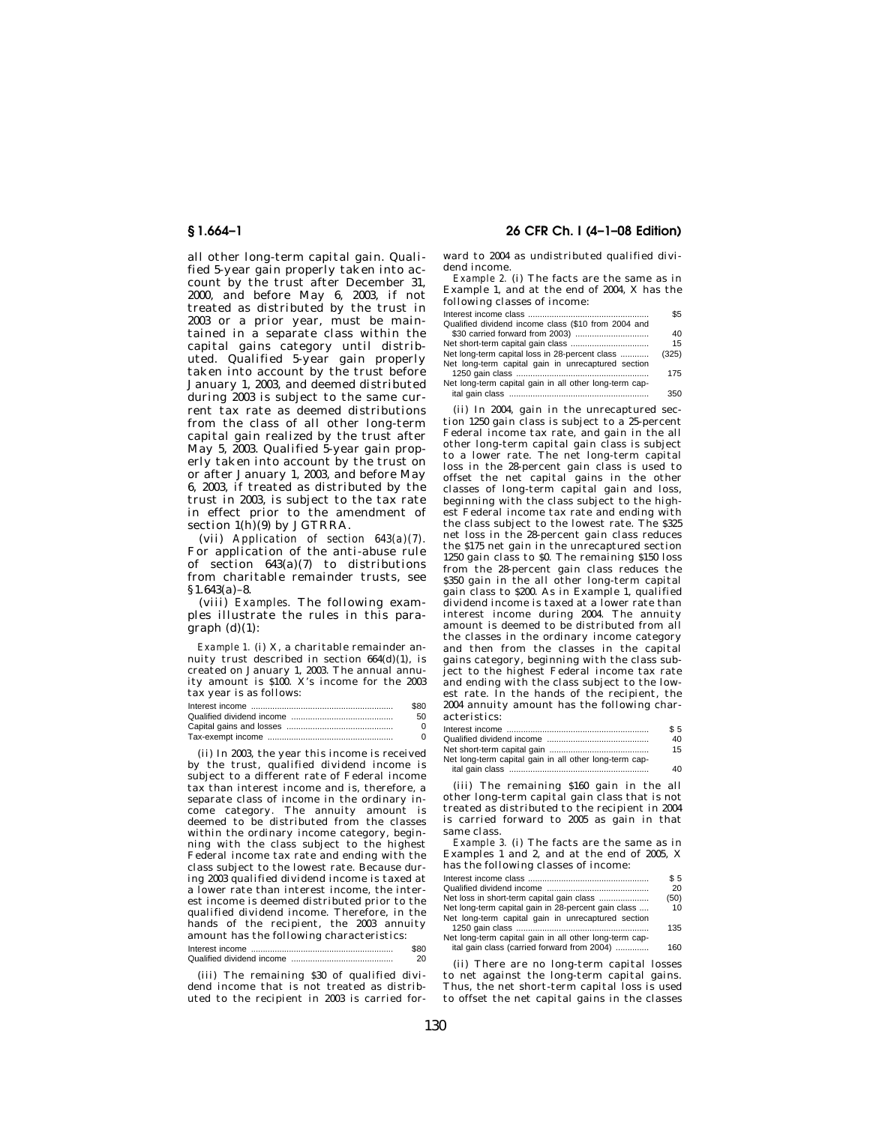# **§ 1.664–1 26 CFR Ch. I (4–1–08 Edition)**

all other long-term capital gain. Qualified 5-year gain properly taken into account by the trust after December 31, 2000, and before May 6, 2003, if not treated as distributed by the trust in 2003 or a prior year, must be maintained in a separate class within the capital gains category until distributed. Qualified 5-year gain properly taken into account by the trust before January 1, 2003, and deemed distributed during 2003 is subject to the same current tax rate as deemed distributions from the class of all other long-term capital gain realized by the trust after May 5, 2003. Qualified 5-year gain properly taken into account by the trust on or after January 1, 2003, and before May 6, 2003, if treated as distributed by the trust in 2003, is subject to the tax rate in effect prior to the amendment of section  $1(h)(9)$  by JGTRRA.

(vii) *Application of section 643(a)(7).*  For application of the anti-abuse rule of section 643(a)(7) to distributions from charitable remainder trusts, see §1.643(a)–8.

(viii) *Examples.* The following examples illustrate the rules in this paragraph  $(d)(1)$ :

*Example 1.* (i) X, a charitable remainder annuity trust described in section 664(d)(1), is created on January 1, 2003. The annual annuity amount is \$100. X's income for the 2003 tax year is as follows:

| \$80 |
|------|
| 50   |
|      |
|      |

(ii) In 2003, the year this income is received by the trust, qualified dividend income is subject to a different rate of Federal income tax than interest income and is, therefore, a separate class of income in the ordinary income category. The annuity amount is deemed to be distributed from the classes within the ordinary income category, beginning with the class subject to the highest Federal income tax rate and ending with the class subject to the lowest rate. Because during 2003 qualified dividend income is taxed at a lower rate than interest income, the interest income is deemed distributed prior to the qualified dividend income. Therefore, in the hands of the recipient, the 2003 annuity amount has the following characteristics: Interest income ............................................................ \$80 Qualified dividend income .....

(iii) The remaining \$30 of qualified dividend income that is not treated as distributed to the recipient in 2003 is carried forward to 2004 as undistributed qualified dividend income.

*Example 2.* (i) The facts are the same as in Example 1, and at the end of 2004, X has the following classes of income: Interest income class ................................................... \$5 Qualified dividend income class (\$10 from 2004 and

| Qualified dividend income class (\$10 from 2004 and    |       |
|--------------------------------------------------------|-------|
|                                                        | 40    |
|                                                        | 15    |
| Net long-term capital loss in 28-percent class         | (325) |
| Net long-term capital gain in unrecaptured section     |       |
|                                                        | 175   |
| Net long-term capital gain in all other long-term cap- |       |
|                                                        | 350   |

(ii) In 2004, gain in the unrecaptured section 1250 gain class is subject to a 25-percent Federal income tax rate, and gain in the all other long-term capital gain class is subject to a lower rate. The net long-term capital loss in the 28-percent gain class is used to offset the net capital gains in the other classes of long-term capital gain and loss, beginning with the class subject to the highest Federal income tax rate and ending with the class subject to the lowest rate. The \$325 net loss in the 28-percent gain class reduces the \$175 net gain in the unrecaptured section 1250 gain class to \$0. The remaining \$150 loss from the 28-percent gain class reduces the \$350 gain in the all other long-term capital gain class to \$200. As in Example 1, qualified dividend income is taxed at a lower rate than interest income during 2004. The annuity amount is deemed to be distributed from all the classes in the ordinary income category and then from the classes in the capital gains category, beginning with the class subject to the highest Federal income tax rate and ending with the class subject to the lowest rate. In the hands of the recipient, the 2004 annuity amount has the following characteristics:

|                                                        | \$5 |
|--------------------------------------------------------|-----|
|                                                        | 40  |
|                                                        | 15  |
| Net long-term capital gain in all other long-term cap- |     |
|                                                        | 40  |

(iii) The remaining \$160 gain in the all other long-term capital gain class that is not treated as distributed to the recipient in 2004 is carried forward to 2005 as gain in that same class.

*Example 3.* (i) The facts are the same as in Examples 1 and 2, and at the end of 2005, X has the following classes of income:

| $\frac{1}{1000}$ cho conto $\frac{1}{1000}$ chapped on millionity. |                 |
|--------------------------------------------------------------------|-----------------|
|                                                                    | \$5             |
|                                                                    | 20              |
| Net loss in short-term capital gain class                          | (50)            |
| Net long-term capital gain in 28-percent gain class                | 10 <sup>1</sup> |
| Net long-term capital gain in unrecaptured section                 |                 |
|                                                                    | 135             |
| Net long-term capital gain in all other long-term cap-             |                 |
| ital gain class (carried forward from 2004)                        | 160             |

(ii) There are no long-term capital losses to net against the long-term capital gains. Thus, the net short-term capital loss is used to offset the net capital gains in the classes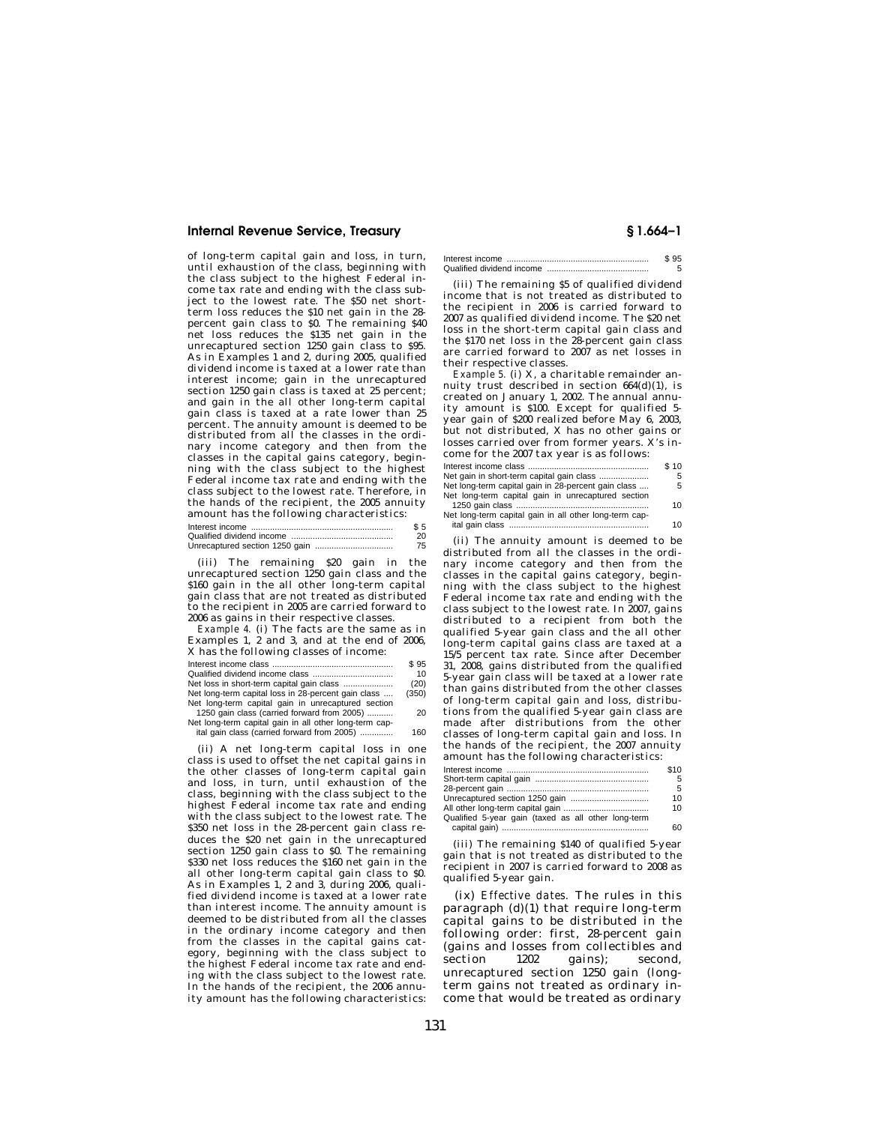of long-term capital gain and loss, in turn, until exhaustion of the class, beginning with the class subject to the highest Federal income tax rate and ending with the class subject to the lowest rate. The \$50 net short-term loss reduces the \$10 net gain in the 28 percent gain class to \$0. The remaining \$40 net loss reduces the \$135 net gain in the unrecaptured section 1250 gain class to \$95. As in Examples 1 and 2, during 2005, qualified dividend income is taxed at a lower rate than interest income; gain in the unrecaptured section 1250 gain class is taxed at 25 percent; and gain in the all other long-term capital gain class is taxed at a rate lower than 25 percent. The annuity amount is deemed to be distributed from all the classes in the ordinary income category and then from the classes in the capital gains category, begin-ning with the class subject to the highest Federal income tax rate and ending with the class subject to the lowest rate. Therefore, in the hands of the recipient, the 2005 annuity amount has the following characteristics:

| \$5 |
|-----|
| 20  |
| 75  |

(iii) The remaining \$20 gain in the unrecaptured section 1250 gain class and the \$160 gain in the all other long-term capital gain class that are not treated as distributed to the recipient in 2005 are carried forward to 2006 as gains in their respective classes.

*Example 4.* (i) The facts are the same as in Examples 1,  $2$  and 3, and at the end of 2006, X has the following classes of income: Interest income class ................................................... \$ 95 Qualified dividend income class .................................. 10 Net loss in short-term capital gain class ..................... (20) Net long-term capital loss in 28-percent gain class .... (350) Net long-term capital gain in unrecaptured section 1250 gain class (carried forward from 2005) ........... 20 Net long-term capital gain in all other long-term capital gain class (carried forward from 2005) .............. 160

(ii) A net long-term capital loss in one class is used to offset the net capital gains in the other classes of long-term capital gain and loss, in turn, until exhaustion of the class, beginning with the class subject to the highest Federal income tax rate and ending with the class subject to the lowest rate. The \$350 net loss in the 28-percent gain class reduces the \$20 net gain in the unrecaptured section 1250 gain class to \$0. The remaining \$330 net loss reduces the \$160 net gain in the all other long-term capital gain class to \$0. As in Examples 1, 2 and 3, during 2006, qualified dividend income is taxed at a lower rate than interest income. The annuity amount is deemed to be distributed from all the classes in the ordinary income category and then from the classes in the capital gains category, beginning with the class subject to the highest Federal income tax rate and ending with the class subject to the lowest rate. In the hands of the recipient, the 2006 annuity amount has the following characteristics:

Interest income ............................................................ \$ 95 Qualified dividend income ..........

(iii) The remaining \$5 of qualified dividend income that is not treated as distributed to the recipient in 2006 is carried forward to 2007 as qualified dividend income. The \$20 net loss in the short-term capital gain class and the \$170 net loss in the 28-percent gain class are carried forward to 2007 as net losses in their respective classes.

*Example 5.* (i) X, a charitable remainder annuity trust described in section 664(d)(1), is created on January 1, 2002. The annual annuity amount is \$100. Except for qualified 5 year gain of \$200 realized before May 6, 2003, but not distributed, X has no other gains or losses carried over from former years. X's income for the 2007 tax year is as follows:

|                                                        | \$10 |
|--------------------------------------------------------|------|
| Net gain in short-term capital gain class              | 5    |
| Net long-term capital gain in 28-percent gain class    | 5    |
| Net long-term capital gain in unrecaptured section     |      |
|                                                        | 10   |
| Net long-term capital gain in all other long-term cap- |      |
|                                                        | 10   |

(ii) The annuity amount is deemed to be distributed from all the classes in the ordinary income category and then from the classes in the capital gains category, beginning with the class subject to the highest Federal income tax rate and ending with the class subject to the lowest rate. In 2007, gains distributed to a recipient from both the qualified 5-year gain class and the all other long-term capital gains class are taxed at a 15/5 percent tax rate. Since after December 31, 2008, gains distributed from the qualified 5-year gain class will be taxed at a lower rate than gains distributed from the other classes of long-term capital gain and loss, distributions from the qualified 5-year gain class are made after distributions from the other classes of long-term capital gain and loss. In the hands of the recipient, the 2007 annuity amount has the following characteristics:

|                                                     | \$10 |
|-----------------------------------------------------|------|
|                                                     | -5   |
|                                                     | -5   |
|                                                     | 10   |
|                                                     | 10   |
| Qualified 5-year gain (taxed as all other long-term |      |
|                                                     |      |

(iii) The remaining \$140 of qualified 5-year gain that is not treated as distributed to the recipient in 2007 is carried forward to 2008 as qualified 5-year gain.

(ix) *Effective dates.* The rules in this paragraph (d)(1) that require long-term capital gains to be distributed in the following order: first, 28-percent gain (gains and losses from collectibles and<br>section 1202 gains); second, gains); unrecaptured section 1250 gain (longterm gains not treated as ordinary income that would be treated as ordinary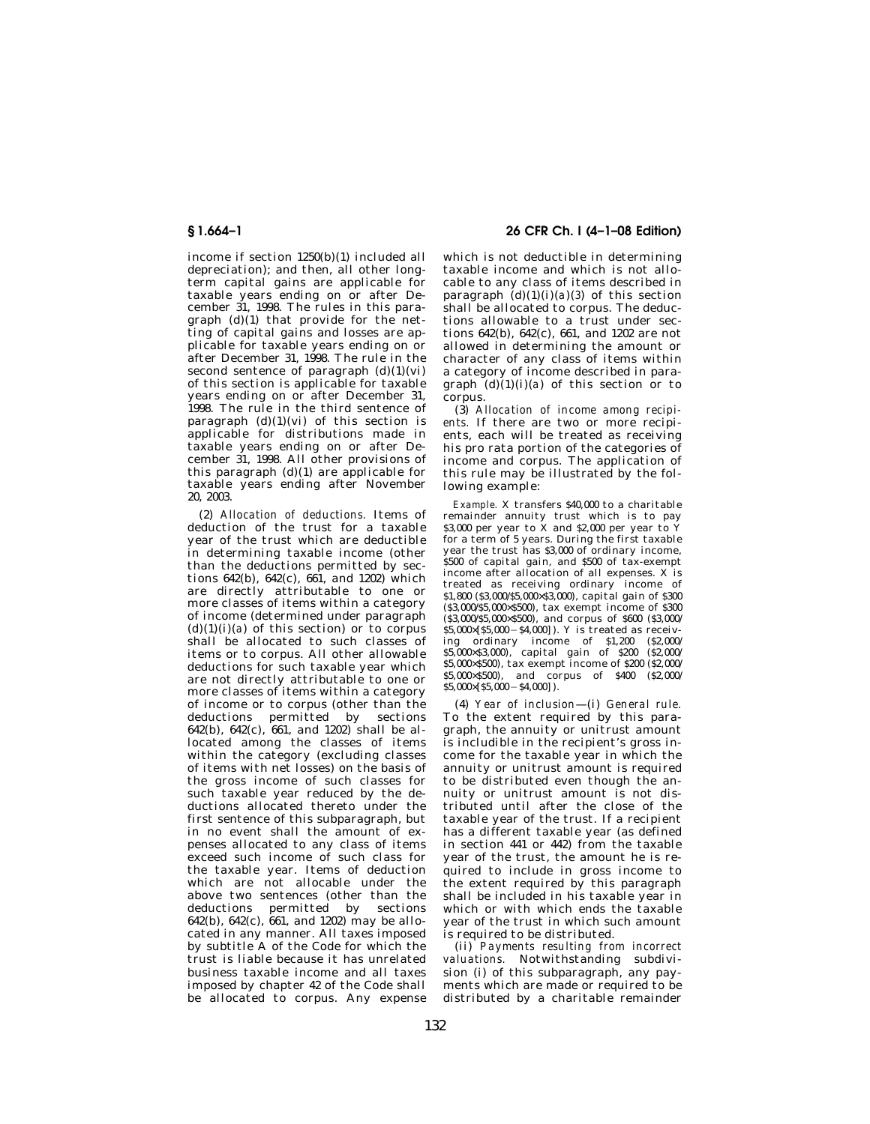income if section 1250(b)(1) included all depreciation); and then, all other longterm capital gains are applicable for taxable years ending on or after December 31, 1998. The rules in this paragraph (d)(1) that provide for the netting of capital gains and losses are applicable for taxable years ending on or after December 31, 1998. The rule in the second sentence of paragraph  $(d)(1)(vi)$ of this section is applicable for taxable years ending on or after December 31, 1998. The rule in the third sentence of paragraph  $(d)(1)(vi)$  of this section is applicable for distributions made in taxable years ending on or after December 31, 1998. All other provisions of this paragraph (d)(1) are applicable for taxable years ending after November 20, 2003.

(2) *Allocation of deductions.* Items of deduction of the trust for a taxable year of the trust which are deductible in determining taxable income (other than the deductions permitted by sections  $642(b)$ ,  $642(c)$ ,  $661$ , and  $1202$ ) which are directly attributable to one or more classes of items within a category of income (determined under paragraph  $(d)(1)(i)(a)$  of this section) or to corpus shall be allocated to such classes of items or to corpus. All other allowable deductions for such taxable year which are not directly attributable to one or more classes of items within a category of income or to corpus (other than the deductions permitted by sections 642(b), 642(c), 661, and 1202) shall be allocated among the classes of items within the category (excluding classes of items with net losses) on the basis of the gross income of such classes for such taxable year reduced by the deductions allocated thereto under the first sentence of this subparagraph, but in no event shall the amount of expenses allocated to any class of items exceed such income of such class for the taxable year. Items of deduction which are not allocable under the above two sentences (other than the deductions permitted by sections deductions permitted by 642(b), 642(c), 661, and 1202) may be allocated in any manner. All taxes imposed by subtitle A of the Code for which the trust is liable because it has unrelated business taxable income and all taxes imposed by chapter 42 of the Code shall be allocated to corpus. Any expense

# **§ 1.664–1 26 CFR Ch. I (4–1–08 Edition)**

which is not deductible in determining taxable income and which is not allocable to any class of items described in paragraph  $(d)(1)(i)(a)(3)$  of this section shall be allocated to corpus. The deductions allowable to a trust under sections 642(b), 642(c), 661, and 1202 are not allowed in determining the amount or character of any class of items within a category of income described in paragraph  $(d)(1)(i)(a)$  of this section or to corpus.

(3) *Allocation of income among recipients.* If there are two or more recipients, each will be treated as receiving his pro rata portion of the categories of income and corpus. The application of this rule may be illustrated by the following example:

*Example.* X transfers \$40,000 to a charitable remainder annuity trust which is to pay \$3,000 per year to X and \$2,000 per year to Y for a term of 5 years. During the first taxable year the trust has \$3,000 of ordinary income, \$500 of capital gain, and \$500 of tax-exempt income after allocation of all expenses. X is treated as receiving ordinary income of \$1,800 (\$3,000/\$5,000×\$3,000), capital gain of \$300 (\$3,000/\$5,000×\$500), tax exempt income of \$300 (\$3,000/\$5,000×\$500), and corpus of \$600 (\$3,000/  $$5,000\times[$5,000-$4,000]$ ). Y is treated as receiving ordinary income of \$1,200 (\$2,000/ \$5,000×\$3,000), capital gain of \$200 (\$2,000/ \$5,000×\$500), tax exempt income of \$200 (\$2,000/ \$5,000×\$500), and corpus of \$400 (\$2,000/  $$5,000\times[$5,000 - $4,000]$ .

(4) *Year of inclusion*—(i) *General rule.*  To the extent required by this paragraph, the annuity or unitrust amount is includible in the recipient's gross income for the taxable year in which the annuity or unitrust amount is required to be distributed even though the annuity or unitrust amount is not distributed until after the close of the taxable year of the trust. If a recipient has a different taxable year (as defined in section 441 or 442) from the taxable year of the trust, the amount he is required to include in gross income to the extent required by this paragraph shall be included in his taxable year in which or with which ends the taxable year of the trust in which such amount is required to be distributed.

(ii) *Payments resulting from incorrect valuations.* Notwithstanding subdivision (i) of this subparagraph, any payments which are made or required to be distributed by a charitable remainder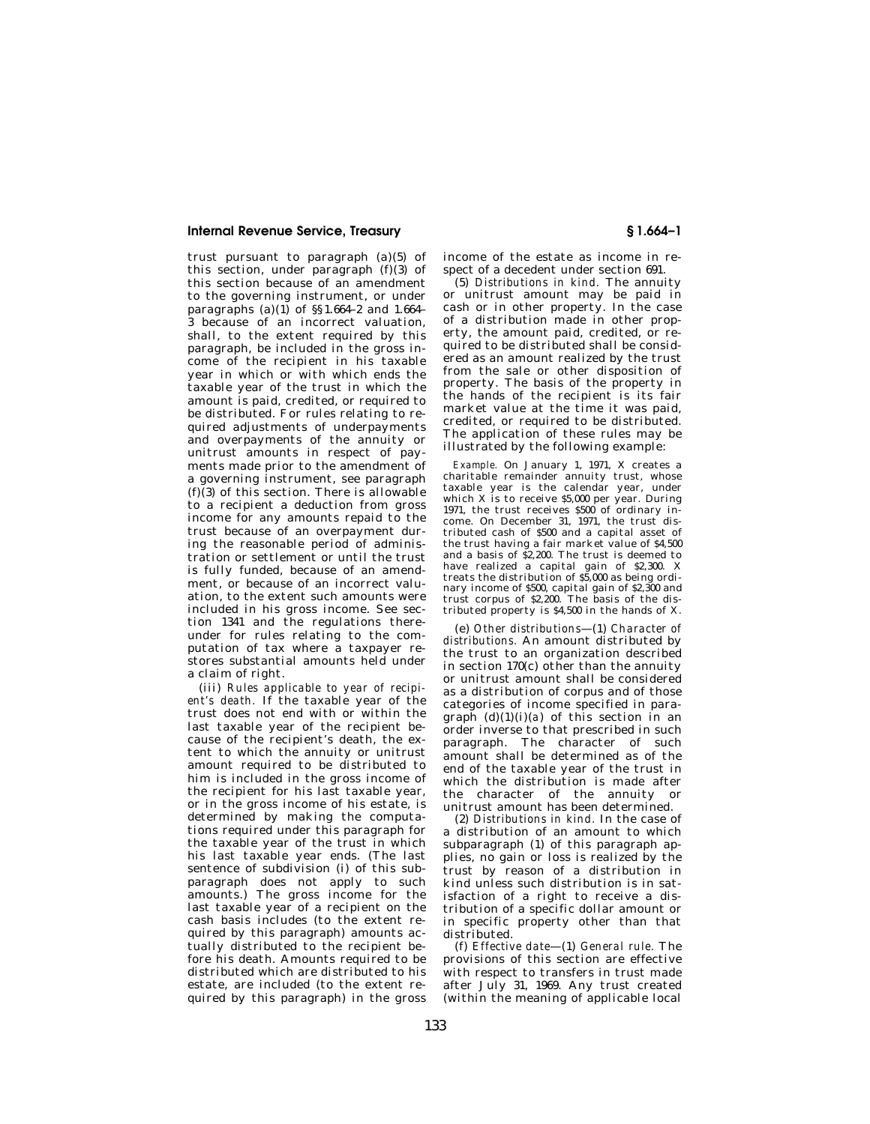trust pursuant to paragraph (a)(5) of this section, under paragraph (f)(3) of this section because of an amendment to the governing instrument, or under paragraphs (a) $(1)$  of §§1.664–2 and 1.664– 3 because of an incorrect valuation, shall, to the extent required by this paragraph, be included in the gross income of the recipient in his taxable year in which or with which ends the taxable year of the trust in which the amount is paid, credited, or required to be distributed. For rules relating to required adjustments of underpayments and overpayments of the annuity or unitrust amounts in respect of payments made prior to the amendment of a governing instrument, see paragraph  $(f)(3)$  of this section. There is allowable to a recipient a deduction from gross income for any amounts repaid to the trust because of an overpayment during the reasonable period of administration or settlement or until the trust is fully funded, because of an amendment, or because of an incorrect valuation, to the extent such amounts were included in his gross income. See section 1341 and the regulations thereunder for rules relating to the computation of tax where a taxpayer restores substantial amounts held under a claim of right.

(iii) *Rules applicable to year of recipient's death.* If the taxable year of the trust does not end with or within the last taxable year of the recipient because of the recipient's death, the extent to which the annuity or unitrust amount required to be distributed to him is included in the gross income of the recipient for his last taxable year, or in the gross income of his estate, is determined by making the computations required under this paragraph for the taxable year of the trust in which his last taxable year ends. (The last sentence of subdivision (i) of this subparagraph does not apply to such amounts.) The gross income for the last taxable year of a recipient on the cash basis includes (to the extent required by this paragraph) amounts actually distributed to the recipient before his death. Amounts required to be distributed which are distributed to his estate, are included (to the extent required by this paragraph) in the gross

income of the estate as income in respect of a decedent under section 691. (5) *Distributions in kind.* The annuity

or unitrust amount may be paid in cash or in other property. In the case of a distribution made in other property, the amount paid, credited, or required to be distributed shall be considered as an amount realized by the trust from the sale or other disposition of property. The basis of the property in the hands of the recipient is its fair market value at the time it was paid, credited, or required to be distributed. The application of these rules may be illustrated by the following example:

*Example.* On January 1, 1971, X creates a charitable remainder annuity trust, whose taxable year is the calendar year, under which X is to receive  $$5,000$  per year. During 1971, the trust receives \$500 of ordinary income. On December 31, 1971, the trust distributed cash of \$500 and a capital asset of the trust having a fair market value of \$4,500 and a basis of \$2,200. The trust is deemed to have realized a capital gain of \$2,300. X treats the distribution of \$5,000 as being ordinary income of \$500, capital gain of \$2,300 and trust corpus of \$2,200. The basis of the distributed property is \$4,500 in the hands of X.

(e) *Other distributions*—(1) *Character of distributions.* An amount distributed by the trust to an organization described in section 170(c) other than the annuity or unitrust amount shall be considered as a distribution of corpus and of those categories of income specified in paragraph  $(d)(1)(i)(a)$  of this section in an order inverse to that prescribed in such paragraph. The character of such amount shall be determined as of the end of the taxable year of the trust in which the distribution is made after the character of the annuity or unitrust amount has been determined.

(2) *Distributions in kind.* In the case of a distribution of an amount to which subparagraph (1) of this paragraph applies, no gain or loss is realized by the trust by reason of a distribution in kind unless such distribution is in satisfaction of a right to receive a distribution of a specific dollar amount or in specific property other than that distributed.

(f) *Effective date*—(1) *General rule.* The provisions of this section are effective with respect to transfers in trust made after July 31, 1969. Any trust created (within the meaning of applicable local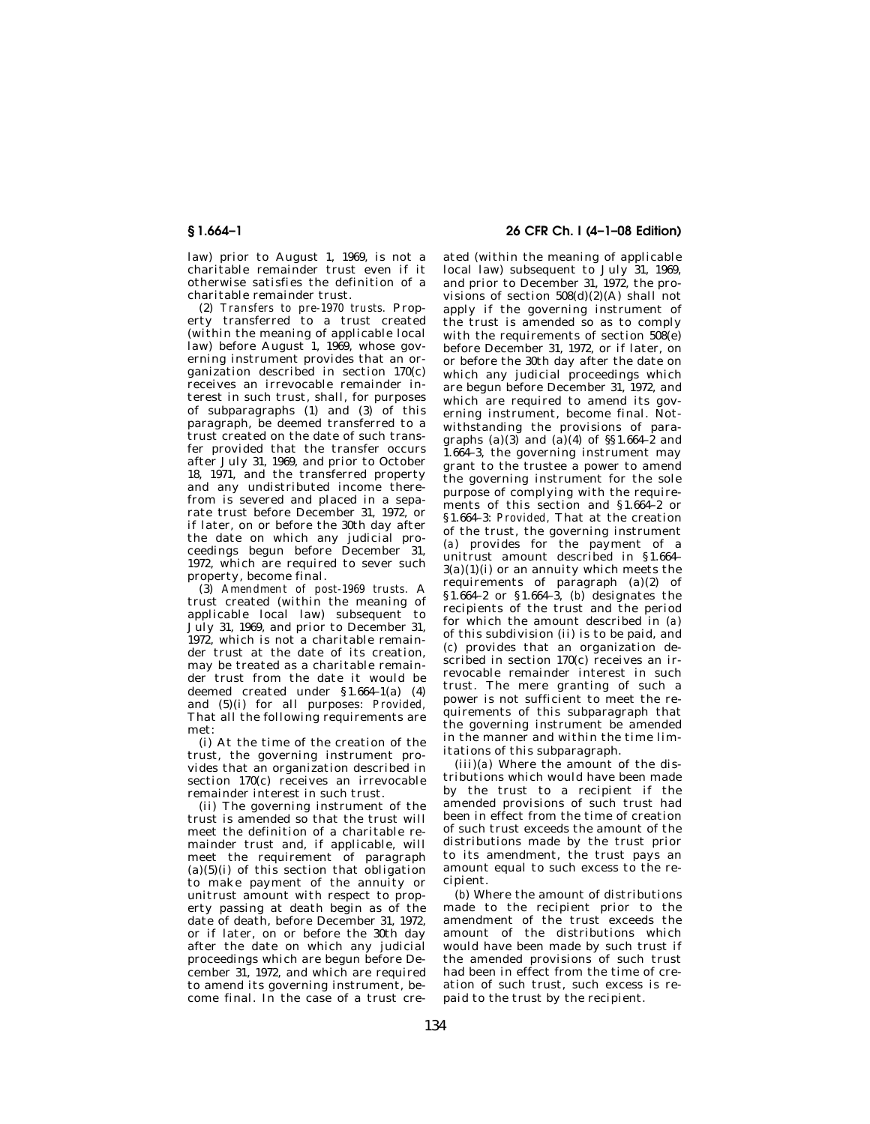law) prior to August 1, 1969, is not a charitable remainder trust even if it otherwise satisfies the definition of a charitable remainder trust.

(2) *Transfers to pre-1970 trusts.* Property transferred to a trust created (within the meaning of applicable local law) before August 1, 1969, whose governing instrument provides that an organization described in section 170(c) receives an irrevocable remainder interest in such trust, shall, for purposes of subparagraphs  $(1)$  and  $(3)$  of this paragraph, be deemed transferred to a trust created on the date of such transfer provided that the transfer occurs after July 31, 1969, and prior to October 18, 1971, and the transferred property and any undistributed income therefrom is severed and placed in a separate trust before December 31, 1972, or if later, on or before the 30th day after the date on which any judicial proceedings begun before December 31, 1972, which are required to sever such property, become final.

(3) *Amendment of post-1969 trusts.* A trust created (within the meaning of applicable local law) subsequent to July 31, 1969, and prior to December 31, 1972, which is not a charitable remainder trust at the date of its creation, may be treated as a charitable remainder trust from the date it would be deemed created under §1.664–1(a) (4) and (5)(i) for all purposes: *Provided,*  That all the following requirements are met:

(i) At the time of the creation of the trust, the governing instrument provides that an organization described in section 170(c) receives an irrevocable remainder interest in such trust.

(ii) The governing instrument of the trust is amended so that the trust will meet the definition of a charitable remainder trust and, if applicable, will meet the requirement of paragraph  $(a)(5)(i)$  of this section that obligation to make payment of the annuity or unitrust amount with respect to property passing at death begin as of the date of death, before December 31, 1972, or if later, on or before the 30th day after the date on which any judicial proceedings which are begun before December 31, 1972, and which are required to amend its governing instrument, become final. In the case of a trust cre-

# **§ 1.664–1 26 CFR Ch. I (4–1–08 Edition)**

ated (within the meaning of applicable local law) subsequent to July 31, 1969, and prior to December 31, 1972, the provisions of section  $508(d)(2)(A)$  shall not apply if the governing instrument of the trust is amended so as to comply with the requirements of section 508(e) before December 31, 1972, or if later, on or before the 30th day after the date on which any judicial proceedings which are begun before December 31, 1972, and which are required to amend its governing instrument, become final. Notwithstanding the provisions of paragraphs (a)(3) and (a)(4) of  $\S$ 1.664-2 and 1.664–3, the governing instrument may grant to the trustee a power to amend the governing instrument for the sole purpose of complying with the requirements of this section and §1.664–2 or §1.664–3: *Provided,* That at the creation of the trust, the governing instrument (*a*) provides for the payment of a unitrust amount described in §1.664–  $3(a)(1)(i)$  or an annuity which meets the requirements of paragraph (a)(2) of §1.664–2 or §1.664–3, (*b*) designates the recipients of the trust and the period for which the amount described in (*a*) of this subdivision (ii) is to be paid, and (*c*) provides that an organization described in section 170(c) receives an irrevocable remainder interest in such trust. The mere granting of such a power is not sufficient to meet the requirements of this subparagraph that the governing instrument be amended in the manner and within the time limitations of this subparagraph.

(iii)(*a*) Where the amount of the distributions which would have been made by the trust to a recipient if the amended provisions of such trust had been in effect from the time of creation of such trust exceeds the amount of the distributions made by the trust prior to its amendment, the trust pays an amount equal to such excess to the recipient.

(*b*) Where the amount of distributions made to the recipient prior to the amendment of the trust exceeds the amount of the distributions which would have been made by such trust if the amended provisions of such trust had been in effect from the time of creation of such trust, such excess is repaid to the trust by the recipient.